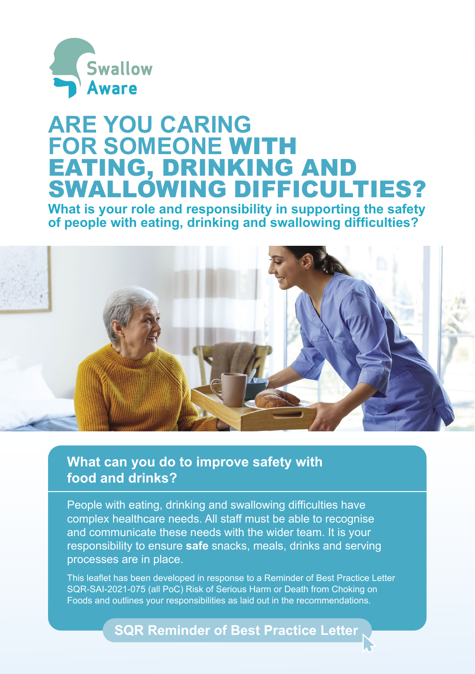

# **ARE YOU CARING FOR SOMEONE** WITH EATING, DRINKING AND SWALLOWING DIFFICULTIES?

**What is your role and responsibility in supporting the safety of people with eating, drinking and swallowing difficulties?**



**What can you do to improve safety with food and drinks?**

People with eating, drinking and swallowing difficulties have complex healthcare needs. All staff must be able to recognise and communicate these needs with the wider team. It is your responsibility to ensure **safe** snacks, meals, drinks and serving processes are in place.

This leaflet has been developed in response to a Reminder of Best Practice Letter SQR-SAI-2021-075 (all PoC) Risk of Serious Harm or Death from Choking on Foods and outlines your responsibilities as laid out in the recommendations.

**[SQR Reminder of Best Practice Letter](http://insight.hscb.hscni.net/download/safety_quality_and_learning/sqr_best_practice_reminder_letters/Revised-SQR-SAI-2021-075-all-PoC-Risk-of-serious-harm-or-death-from-choking-on-foods.pdf)**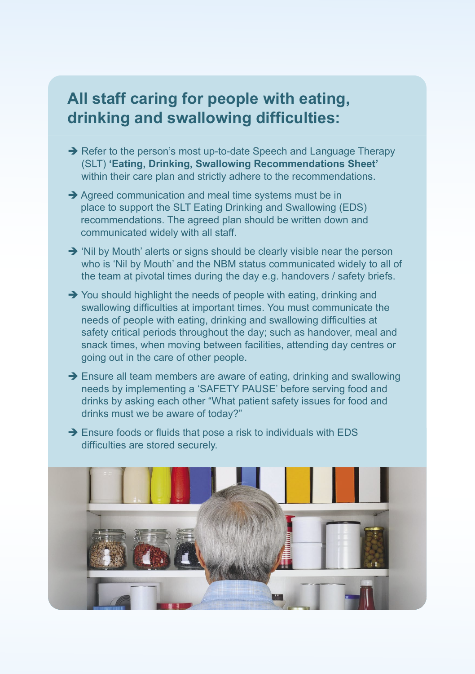## **All staff caring for people with eating, drinking and swallowing difficulties:**

- Refer to the person's most up-to-date Speech and Language Therapy (SLT) **'Eating, Drinking, Swallowing Recommendations Sheet'** within their care plan and strictly adhere to the recommendations.
- $\rightarrow$  Agreed communication and meal time systems must be in place to support the SLT Eating Drinking and Swallowing (EDS) recommendations. The agreed plan should be written down and communicated widely with all staff.
- $\rightarrow$  'Nil by Mouth' alerts or signs should be clearly visible near the person who is 'Nil by Mouth' and the NBM status communicated widely to all of the team at pivotal times during the day e.g. handovers / safety briefs.
- $\rightarrow$  You should highlight the needs of people with eating, drinking and swallowing difficulties at important times. You must communicate the needs of people with eating, drinking and swallowing difficulties at safety critical periods throughout the day; such as handover, meal and snack times, when moving between facilities, attending day centres or going out in the care of other people.
- $\rightarrow$  Ensure all team members are aware of eating, drinking and swallowing needs by implementing a 'SAFETY PAUSE' before serving food and drinks by asking each other "What patient safety issues for food and drinks must we be aware of today?"
- → Ensure foods or fluids that pose a risk to individuals with EDS difficulties are stored securely.

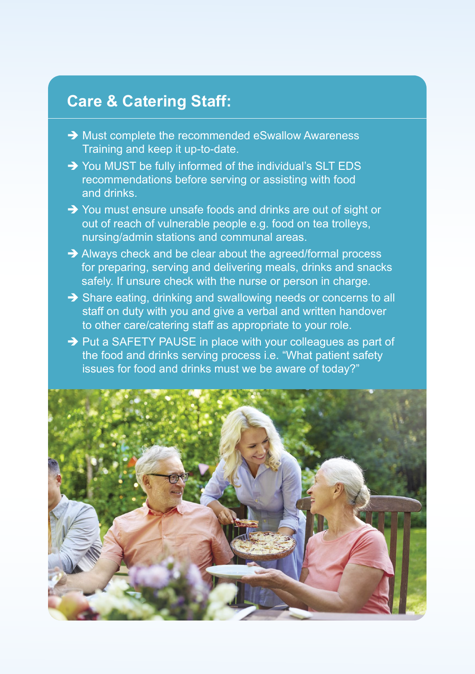## **Care & Catering Staff:**

- $\rightarrow$  Must complete the recommended eSwallow Awareness Training and keep it up-to-date.
- → You MUST be fully informed of the individual's SLT EDS recommendations before serving or assisting with food and drinks.
- → You must ensure unsafe foods and drinks are out of sight or out of reach of vulnerable people e.g. food on tea trolleys, nursing/admin stations and communal areas.
- Always check and be clear about the agreed/formal process for preparing, serving and delivering meals, drinks and snacks safely. If unsure check with the nurse or person in charge.
- Share eating, drinking and swallowing needs or concerns to all staff on duty with you and give a verbal and written handover to other care/catering staff as appropriate to your role.
- $\rightarrow$  Put a SAFETY PAUSE in place with your colleagues as part of the food and drinks serving process i.e. "What patient safety issues for food and drinks must we be aware of today?"

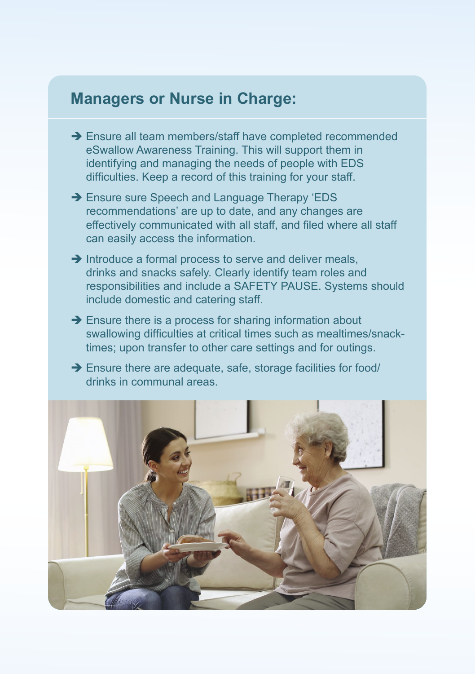### **Managers or Nurse in Charge:**

- → Ensure all team members/staff have completed recommended eSwallow Awareness Training. This will support them in identifying and managing the needs of people with EDS difficulties. Keep a record of this training for your staff.
- → Ensure sure Speech and Language Therapy 'EDS recommendations' are up to date, and any changes are effectively communicated with all staff, and filed where all staff can easily access the information.
- $\rightarrow$  Introduce a formal process to serve and deliver meals, drinks and snacks safely. Clearly identify team roles and responsibilities and include a SAFETY PAUSE. Systems should include domestic and catering staff.
- $\rightarrow$  Ensure there is a process for sharing information about swallowing difficulties at critical times such as mealtimes/snacktimes; upon transfer to other care settings and for outings.
- $\rightarrow$  Ensure there are adequate, safe, storage facilities for food/ drinks in communal areas.

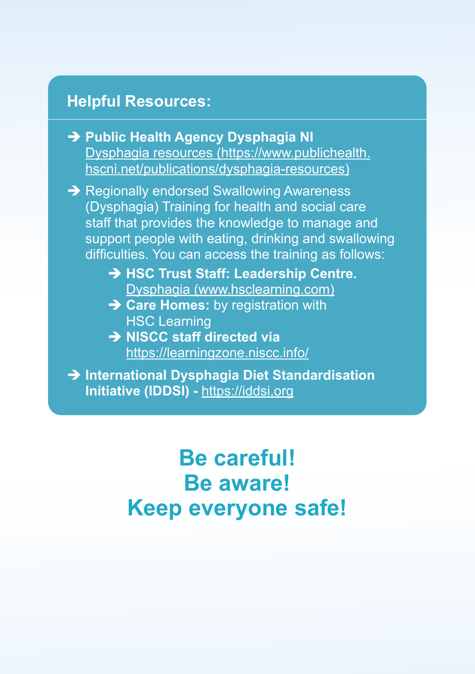## **Helpful Resources:**

 **Public Health Agency Dysphagia NI** [Dysphagia resources \(](https://www.publichealth.hscni.net/publications/dysphagia-resources)https://www.publichealth. hscni.net/publications/dysphagia-resources)

**→ Regionally endorsed Swallowing Awareness** (Dysphagia) Training for health and social care staff that provides the knowledge to manage and support people with eating, drinking and swallowing difficulties. You can access the training as follows:

- **→ HSC Trust Staff: Leadership Centre.** [Dysphagia \(www.hsclearning.com\)](www.hsclearning.com)
- **→ Care Homes:** by registration with HSC Learning
- **NISCC staff directed via** <https://learningzone.niscc.info/>

 **International Dysphagia Diet Standardisation Initiative (IDDSI) -** <https://iddsi.org>

> **Be careful! Be aware! Keep everyone safe!**